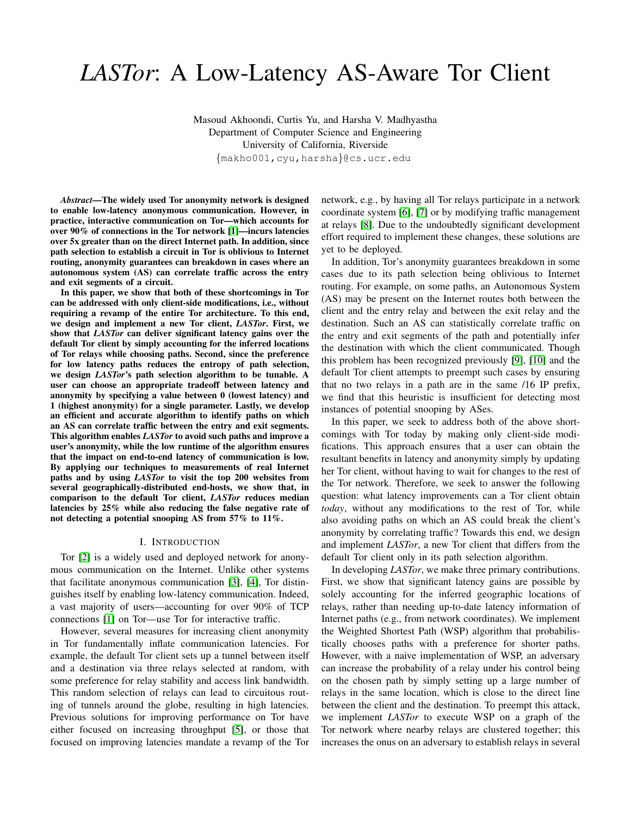# *LASTor*: A Low-Latency AS-Aware Tor Client

Masoud Akhoondi, Curtis Yu, and Harsha V. Madhyastha Department of Computer Science and Engineering University of California, Riverside {makho001,cyu,harsha}@cs.ucr.edu

*Abstract*—The widely used Tor anonymity network is designed to enable low-latency anonymous communication. However, in practice, interactive communication on Tor—which accounts for over 90% of connections in the Tor network [\[1\]](#page-14-0)—incurs latencies over 5x greater than on the direct Internet path. In addition, since path selection to establish a circuit in Tor is oblivious to Internet routing, anonymity guarantees can breakdown in cases where an autonomous system (AS) can correlate traffic across the entry and exit segments of a circuit.

In this paper, we show that both of these shortcomings in Tor can be addressed with only client-side modifications, i.e., without requiring a revamp of the entire Tor architecture. To this end, we design and implement a new Tor client, *LASTor*. First, we show that *LASTor* can deliver significant latency gains over the default Tor client by simply accounting for the inferred locations of Tor relays while choosing paths. Second, since the preference for low latency paths reduces the entropy of path selection, we design *LASTor*'s path selection algorithm to be tunable. A user can choose an appropriate tradeoff between latency and anonymity by specifying a value between 0 (lowest latency) and 1 (highest anonymity) for a single parameter. Lastly, we develop an efficient and accurate algorithm to identify paths on which an AS can correlate traffic between the entry and exit segments. This algorithm enables *LASTor* to avoid such paths and improve a user's anonymity, while the low runtime of the algorithm ensures that the impact on end-to-end latency of communication is low. By applying our techniques to measurements of real Internet paths and by using *LASTor* to visit the top 200 websites from several geographically-distributed end-hosts, we show that, in comparison to the default Tor client, *LASTor* reduces median latencies by 25% while also reducing the false negative rate of not detecting a potential snooping AS from 57% to 11%.

## I. INTRODUCTION

Tor [\[2\]](#page-14-1) is a widely used and deployed network for anonymous communication on the Internet. Unlike other systems that facilitate anonymous communication [\[3\]](#page-14-2), [\[4\]](#page-14-3), Tor distinguishes itself by enabling low-latency communication. Indeed, a vast majority of users—accounting for over 90% of TCP connections [\[1\]](#page-14-0) on Tor—use Tor for interactive traffic.

However, several measures for increasing client anonymity in Tor fundamentally inflate communication latencies. For example, the default Tor client sets up a tunnel between itself and a destination via three relays selected at random, with some preference for relay stability and access link bandwidth. This random selection of relays can lead to circuitous routing of tunnels around the globe, resulting in high latencies. Previous solutions for improving performance on Tor have either focused on increasing throughput [\[5\]](#page-14-4), or those that focused on improving latencies mandate a revamp of the Tor

network, e.g., by having all Tor relays participate in a network coordinate system [\[6\]](#page-14-5), [\[7\]](#page-14-6) or by modifying traffic management at relays [\[8\]](#page-14-7). Due to the undoubtedly significant development effort required to implement these changes, these solutions are yet to be deployed.

In addition, Tor's anonymity guarantees breakdown in some cases due to its path selection being oblivious to Internet routing. For example, on some paths, an Autonomous System (AS) may be present on the Internet routes both between the client and the entry relay and between the exit relay and the destination. Such an AS can statistically correlate traffic on the entry and exit segments of the path and potentially infer the destination with which the client communicated. Though this problem has been recognized previously [\[9\]](#page-14-8), [\[10\]](#page-14-9) and the default Tor client attempts to preempt such cases by ensuring that no two relays in a path are in the same /16 IP prefix, we find that this heuristic is insufficient for detecting most instances of potential snooping by ASes.

In this paper, we seek to address both of the above shortcomings with Tor today by making only client-side modifications. This approach ensures that a user can obtain the resultant benefits in latency and anonymity simply by updating her Tor client, without having to wait for changes to the rest of the Tor network. Therefore, we seek to answer the following question: what latency improvements can a Tor client obtain *today*, without any modifications to the rest of Tor, while also avoiding paths on which an AS could break the client's anonymity by correlating traffic? Towards this end, we design and implement *LASTor*, a new Tor client that differs from the default Tor client only in its path selection algorithm.

In developing *LASTor*, we make three primary contributions. First, we show that significant latency gains are possible by solely accounting for the inferred geographic locations of relays, rather than needing up-to-date latency information of Internet paths (e.g., from network coordinates). We implement the Weighted Shortest Path (WSP) algorithm that probabilistically chooses paths with a preference for shorter paths. However, with a naive implementation of WSP, an adversary can increase the probability of a relay under his control being on the chosen path by simply setting up a large number of relays in the same location, which is close to the direct line between the client and the destination. To preempt this attack, we implement *LASTor* to execute WSP on a graph of the Tor network where nearby relays are clustered together; this increases the onus on an adversary to establish relays in several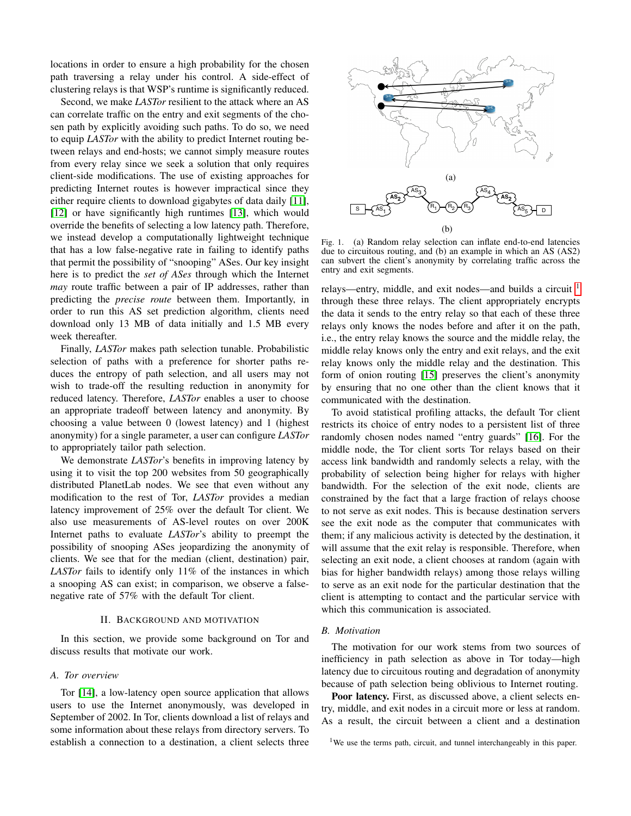locations in order to ensure a high probability for the chosen path traversing a relay under his control. A side-effect of clustering relays is that WSP's runtime is significantly reduced.

Second, we make *LASTor* resilient to the attack where an AS can correlate traffic on the entry and exit segments of the chosen path by explicitly avoiding such paths. To do so, we need to equip *LASTor* with the ability to predict Internet routing between relays and end-hosts; we cannot simply measure routes from every relay since we seek a solution that only requires client-side modifications. The use of existing approaches for predicting Internet routes is however impractical since they either require clients to download gigabytes of data daily [\[11\]](#page-14-10), [\[12\]](#page-14-11) or have significantly high runtimes [\[13\]](#page-14-12), which would override the benefits of selecting a low latency path. Therefore, we instead develop a computationally lightweight technique that has a low false-negative rate in failing to identify paths that permit the possibility of "snooping" ASes. Our key insight here is to predict the *set of ASes* through which the Internet *may* route traffic between a pair of IP addresses, rather than predicting the *precise route* between them. Importantly, in order to run this AS set prediction algorithm, clients need download only 13 MB of data initially and 1.5 MB every week thereafter.

Finally, *LASTor* makes path selection tunable. Probabilistic selection of paths with a preference for shorter paths reduces the entropy of path selection, and all users may not wish to trade-off the resulting reduction in anonymity for reduced latency. Therefore, *LASTor* enables a user to choose an appropriate tradeoff between latency and anonymity. By choosing a value between 0 (lowest latency) and 1 (highest anonymity) for a single parameter, a user can configure *LASTor* to appropriately tailor path selection.

We demonstrate *LASTor*'s benefits in improving latency by using it to visit the top 200 websites from 50 geographically distributed PlanetLab nodes. We see that even without any modification to the rest of Tor, *LASTor* provides a median latency improvement of 25% over the default Tor client. We also use measurements of AS-level routes on over 200K Internet paths to evaluate *LASTor*'s ability to preempt the possibility of snooping ASes jeopardizing the anonymity of clients. We see that for the median (client, destination) pair, *LASTor* fails to identify only 11% of the instances in which a snooping AS can exist; in comparison, we observe a falsenegative rate of 57% with the default Tor client.

## II. BACKGROUND AND MOTIVATION

In this section, we provide some background on Tor and discuss results that motivate our work.

# *A. Tor overview*

Tor [\[14\]](#page-14-13), a low-latency open source application that allows users to use the Internet anonymously, was developed in September of 2002. In Tor, clients download a list of relays and some information about these relays from directory servers. To establish a connection to a destination, a client selects three



<span id="page-1-1"></span>Fig. 1. (a) Random relay selection can inflate end-to-end latencies due to circuitous routing, and (b) an example in which an AS (AS2) can subvert the client's anonymity by correlating traffic across the entry and exit segments.

relays—entry, middle, and exit nodes—and builds a circuit <sup>[1](#page-1-0)</sup> through these three relays. The client appropriately encrypts the data it sends to the entry relay so that each of these three relays only knows the nodes before and after it on the path, i.e., the entry relay knows the source and the middle relay, the middle relay knows only the entry and exit relays, and the exit relay knows only the middle relay and the destination. This form of onion routing [\[15\]](#page-14-14) preserves the client's anonymity by ensuring that no one other than the client knows that it communicated with the destination.

To avoid statistical profiling attacks, the default Tor client restricts its choice of entry nodes to a persistent list of three randomly chosen nodes named "entry guards" [\[16\]](#page-14-15). For the middle node, the Tor client sorts Tor relays based on their access link bandwidth and randomly selects a relay, with the probability of selection being higher for relays with higher bandwidth. For the selection of the exit node, clients are constrained by the fact that a large fraction of relays choose to not serve as exit nodes. This is because destination servers see the exit node as the computer that communicates with them; if any malicious activity is detected by the destination, it will assume that the exit relay is responsible. Therefore, when selecting an exit node, a client chooses at random (again with bias for higher bandwidth relays) among those relays willing to serve as an exit node for the particular destination that the client is attempting to contact and the particular service with which this communication is associated.

## *B. Motivation*

The motivation for our work stems from two sources of inefficiency in path selection as above in Tor today—high latency due to circuitous routing and degradation of anonymity because of path selection being oblivious to Internet routing.

Poor latency. First, as discussed above, a client selects entry, middle, and exit nodes in a circuit more or less at random. As a result, the circuit between a client and a destination

<span id="page-1-0"></span><sup>&</sup>lt;sup>1</sup>We use the terms path, circuit, and tunnel interchangeably in this paper.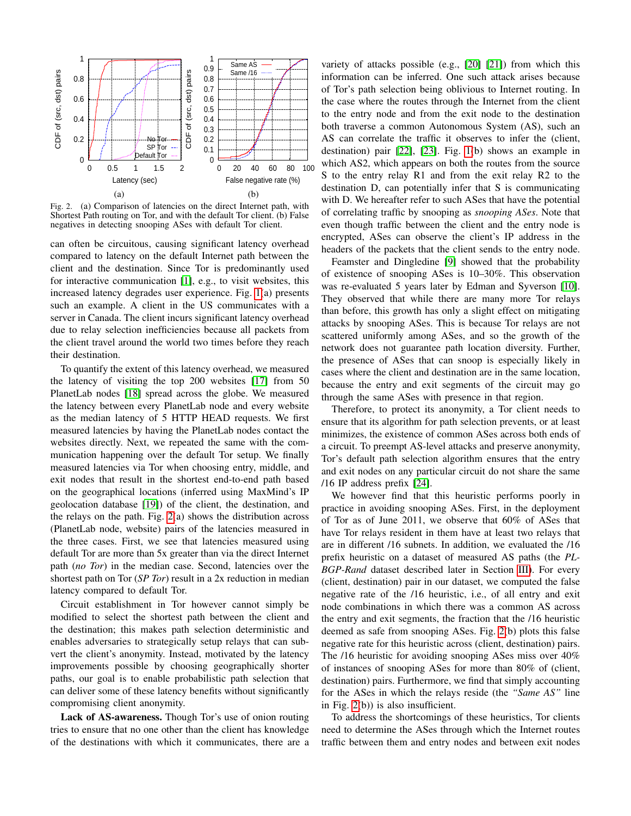

<span id="page-2-0"></span>Fig. 2. (a) Comparison of latencies on the direct Internet path, with Shortest Path routing on Tor, and with the default Tor client. (b) False negatives in detecting snooping ASes with default Tor client.

can often be circuitous, causing significant latency overhead compared to latency on the default Internet path between the client and the destination. Since Tor is predominantly used for interactive communication [\[1\]](#page-14-0), e.g., to visit websites, this increased latency degrades user experience. Fig. [1\(](#page-1-1)a) presents such an example. A client in the US communicates with a server in Canada. The client incurs significant latency overhead due to relay selection inefficiencies because all packets from the client travel around the world two times before they reach their destination.

To quantify the extent of this latency overhead, we measured the latency of visiting the top 200 websites [\[17\]](#page-14-16) from 50 PlanetLab nodes [\[18\]](#page-14-17) spread across the globe. We measured the latency between every PlanetLab node and every website as the median latency of 5 HTTP HEAD requests. We first measured latencies by having the PlanetLab nodes contact the websites directly. Next, we repeated the same with the communication happening over the default Tor setup. We finally measured latencies via Tor when choosing entry, middle, and exit nodes that result in the shortest end-to-end path based on the geographical locations (inferred using MaxMind's IP geolocation database [\[19\]](#page-14-18)) of the client, the destination, and the relays on the path. Fig. [2\(](#page-2-0)a) shows the distribution across (PlanetLab node, website) pairs of the latencies measured in the three cases. First, we see that latencies measured using default Tor are more than 5x greater than via the direct Internet path (*no Tor*) in the median case. Second, latencies over the shortest path on Tor (*SP Tor*) result in a 2x reduction in median latency compared to default Tor.

Circuit establishment in Tor however cannot simply be modified to select the shortest path between the client and the destination; this makes path selection deterministic and enables adversaries to strategically setup relays that can subvert the client's anonymity. Instead, motivated by the latency improvements possible by choosing geographically shorter paths, our goal is to enable probabilistic path selection that can deliver some of these latency benefits without significantly compromising client anonymity.

Lack of AS-awareness. Though Tor's use of onion routing tries to ensure that no one other than the client has knowledge of the destinations with which it communicates, there are a

variety of attacks possible (e.g., [\[20\]](#page-14-19) [\[21\]](#page-14-20)) from which this information can be inferred. One such attack arises because of Tor's path selection being oblivious to Internet routing. In the case where the routes through the Internet from the client to the entry node and from the exit node to the destination both traverse a common Autonomous System (AS), such an AS can correlate the traffic it observes to infer the (client, destination) pair [\[22\]](#page-14-21), [\[23\]](#page-14-22). Fig. [1\(](#page-1-1)b) shows an example in which AS2, which appears on both the routes from the source S to the entry relay R1 and from the exit relay R2 to the destination D, can potentially infer that S is communicating with D. We hereafter refer to such ASes that have the potential of correlating traffic by snooping as *snooping ASes*. Note that even though traffic between the client and the entry node is encrypted, ASes can observe the client's IP address in the headers of the packets that the client sends to the entry node.

Feamster and Dingledine [\[9\]](#page-14-8) showed that the probability of existence of snooping ASes is 10–30%. This observation was re-evaluated 5 years later by Edman and Syverson [\[10\]](#page-14-9). They observed that while there are many more Tor relays than before, this growth has only a slight effect on mitigating attacks by snooping ASes. This is because Tor relays are not scattered uniformly among ASes, and so the growth of the network does not guarantee path location diversity. Further, the presence of ASes that can snoop is especially likely in cases where the client and destination are in the same location, because the entry and exit segments of the circuit may go through the same ASes with presence in that region.

Therefore, to protect its anonymity, a Tor client needs to ensure that its algorithm for path selection prevents, or at least minimizes, the existence of common ASes across both ends of a circuit. To preempt AS-level attacks and preserve anonymity, Tor's default path selection algorithm ensures that the entry and exit nodes on any particular circuit do not share the same /16 IP address prefix [\[24\]](#page-14-23).

We however find that this heuristic performs poorly in practice in avoiding snooping ASes. First, in the deployment of Tor as of June 2011, we observe that 60% of ASes that have Tor relays resident in them have at least two relays that are in different /16 subnets. In addition, we evaluated the /16 prefix heuristic on a dataset of measured AS paths (the *PL-BGP-Rand* dataset described later in Section [III\)](#page-3-0). For every (client, destination) pair in our dataset, we computed the false negative rate of the /16 heuristic, i.e., of all entry and exit node combinations in which there was a common AS across the entry and exit segments, the fraction that the /16 heuristic deemed as safe from snooping ASes. Fig. [2\(](#page-2-0)b) plots this false negative rate for this heuristic across (client, destination) pairs. The /16 heuristic for avoiding snooping ASes miss over 40% of instances of snooping ASes for more than 80% of (client, destination) pairs. Furthermore, we find that simply accounting for the ASes in which the relays reside (the *"Same AS"* line in Fig. [2\(](#page-2-0)b)) is also insufficient.

To address the shortcomings of these heuristics, Tor clients need to determine the ASes through which the Internet routes traffic between them and entry nodes and between exit nodes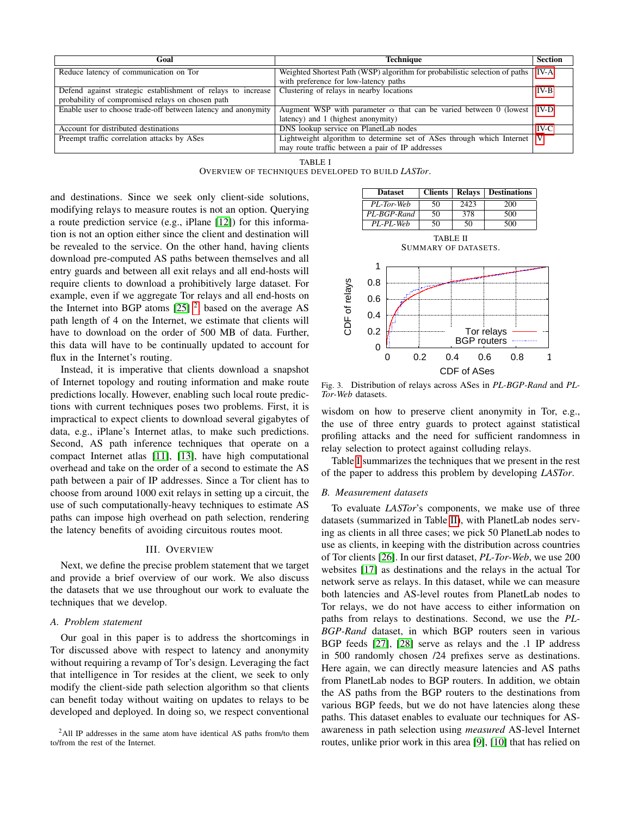| Goal                                                                                                             | <b>Technique</b>                                                                                                          |             |
|------------------------------------------------------------------------------------------------------------------|---------------------------------------------------------------------------------------------------------------------------|-------------|
| Reduce latency of communication on Tor                                                                           | Weighted Shortest Path (WSP) algorithm for probabilistic selection of paths  <br>with preference for low-latency paths    |             |
| Defend against strategic establishment of relays to increase<br>probability of compromised relays on chosen path | Clustering of relays in nearby locations                                                                                  | <b>IV-B</b> |
| Enable user to choose trade-off between latency and anonymity                                                    | Augment WSP with parameter $\alpha$ that can be varied between 0 (lowest V-D<br>latency) and 1 (highest anonymity)        |             |
| Account for distributed destinations                                                                             | DNS lookup service on PlanetLab nodes                                                                                     | IV-C        |
| Preempt traffic correlation attacks by ASes                                                                      | Lightweight algorithm to determine set of ASes through which Internet<br>may route traffic between a pair of IP addresses |             |

TABLE I

OVERVIEW OF TECHNIQUES DEVELOPED TO BUILD *LASTor*.

<span id="page-3-2"></span>and destinations. Since we seek only client-side solutions, modifying relays to measure routes is not an option. Querying a route prediction service (e.g., iPlane [\[12\]](#page-14-11)) for this information is not an option either since the client and destination will be revealed to the service. On the other hand, having clients download pre-computed AS paths between themselves and all entry guards and between all exit relays and all end-hosts will require clients to download a prohibitively large dataset. For example, even if we aggregate Tor relays and all end-hosts on the Internet into BGP atoms  $[25]$ <sup>[2](#page-3-1)</sup>, based on the average AS path length of 4 on the Internet, we estimate that clients will have to download on the order of 500 MB of data. Further, this data will have to be continually updated to account for flux in the Internet's routing.

Instead, it is imperative that clients download a snapshot of Internet topology and routing information and make route predictions locally. However, enabling such local route predictions with current techniques poses two problems. First, it is impractical to expect clients to download several gigabytes of data, e.g., iPlane's Internet atlas, to make such predictions. Second, AS path inference techniques that operate on a compact Internet atlas [\[11\]](#page-14-10), [\[13\]](#page-14-12), have high computational overhead and take on the order of a second to estimate the AS path between a pair of IP addresses. Since a Tor client has to choose from around 1000 exit relays in setting up a circuit, the use of such computationally-heavy techniques to estimate AS paths can impose high overhead on path selection, rendering the latency benefits of avoiding circuitous routes moot.

## III. OVERVIEW

<span id="page-3-0"></span>Next, we define the precise problem statement that we target and provide a brief overview of our work. We also discuss the datasets that we use throughout our work to evaluate the techniques that we develop.

# *A. Problem statement*

Our goal in this paper is to address the shortcomings in Tor discussed above with respect to latency and anonymity without requiring a revamp of Tor's design. Leveraging the fact that intelligence in Tor resides at the client, we seek to only modify the client-side path selection algorithm so that clients can benefit today without waiting on updates to relays to be developed and deployed. In doing so, we respect conventional

<span id="page-3-1"></span><sup>2</sup>All IP addresses in the same atom have identical AS paths from/to them to/from the rest of the Internet.

| <b>Dataset</b>   |    |      | <b>Clients</b>   Relays   Destinations |
|------------------|----|------|----------------------------------------|
| PL-Tor-Web       | 50 | 2423 | 200                                    |
| PL-BGP-Rand      | 50 | 378  | 500                                    |
| $PL$ - $PL$ -Web | 50 | 50   | 500                                    |

TABLE II SUMMARY OF DATASETS.

<span id="page-3-3"></span>

<span id="page-3-4"></span>Fig. 3. Distribution of relays across ASes in *PL-BGP-Rand* and *PL-Tor-Web* datasets.

wisdom on how to preserve client anonymity in Tor, e.g., the use of three entry guards to protect against statistical profiling attacks and the need for sufficient randomness in relay selection to protect against colluding relays.

Table [I](#page-3-2) summarizes the techniques that we present in the rest of the paper to address this problem by developing *LASTor*.

# *B. Measurement datasets*

To evaluate *LASTor*'s components, we make use of three datasets (summarized in Table [II\)](#page-3-3), with PlanetLab nodes serving as clients in all three cases; we pick 50 PlanetLab nodes to use as clients, in keeping with the distribution across countries of Tor clients [\[26\]](#page-14-25). In our first dataset, *PL-Tor-Web*, we use 200 websites [\[17\]](#page-14-16) as destinations and the relays in the actual Tor network serve as relays. In this dataset, while we can measure both latencies and AS-level routes from PlanetLab nodes to Tor relays, we do not have access to either information on paths from relays to destinations. Second, we use the *PL-BGP-Rand* dataset, in which BGP routers seen in various BGP feeds [\[27\]](#page-14-26), [\[28\]](#page-14-27) serve as relays and the .1 IP address in 500 randomly chosen /24 prefixes serve as destinations. Here again, we can directly measure latencies and AS paths from PlanetLab nodes to BGP routers. In addition, we obtain the AS paths from the BGP routers to the destinations from various BGP feeds, but we do not have latencies along these paths. This dataset enables to evaluate our techniques for ASawareness in path selection using *measured* AS-level Internet routes, unlike prior work in this area [\[9\]](#page-14-8), [\[10\]](#page-14-9) that has relied on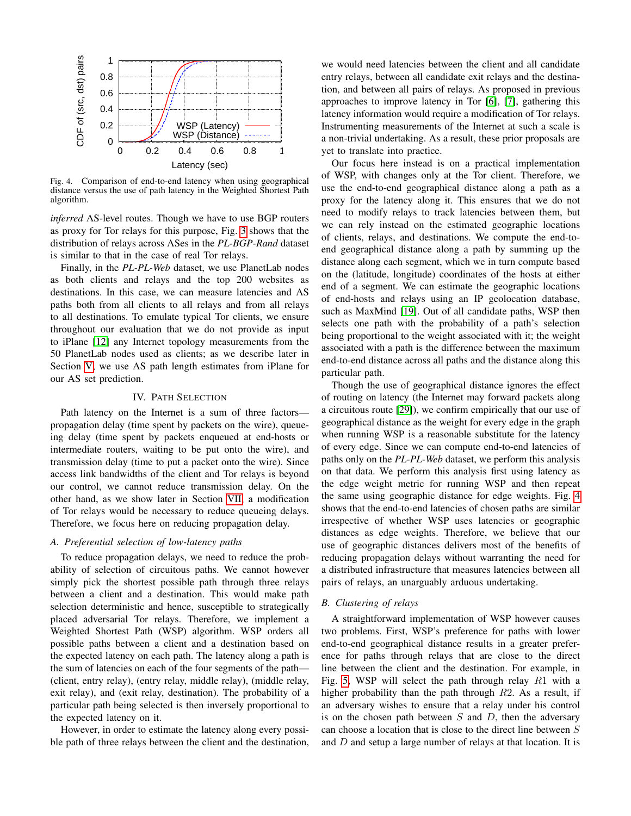

<span id="page-4-2"></span>Fig. 4. Comparison of end-to-end latency when using geographical distance versus the use of path latency in the Weighted Shortest Path algorithm.

*inferred* AS-level routes. Though we have to use BGP routers as proxy for Tor relays for this purpose, Fig. [3](#page-3-4) shows that the distribution of relays across ASes in the *PL-BGP-Rand* dataset is similar to that in the case of real Tor relays.

Finally, in the *PL-PL-Web* dataset, we use PlanetLab nodes as both clients and relays and the top 200 websites as destinations. In this case, we can measure latencies and AS paths both from all clients to all relays and from all relays to all destinations. To emulate typical Tor clients, we ensure throughout our evaluation that we do not provide as input to iPlane [\[12\]](#page-14-11) any Internet topology measurements from the 50 PlanetLab nodes used as clients; as we describe later in Section [V,](#page-8-0) we use AS path length estimates from iPlane for our AS set prediction.

## IV. PATH SELECTION

Path latency on the Internet is a sum of three factorspropagation delay (time spent by packets on the wire), queueing delay (time spent by packets enqueued at end-hosts or intermediate routers, waiting to be put onto the wire), and transmission delay (time to put a packet onto the wire). Since access link bandwidths of the client and Tor relays is beyond our control, we cannot reduce transmission delay. On the other hand, as we show later in Section [VII,](#page-11-0) a modification of Tor relays would be necessary to reduce queueing delays. Therefore, we focus here on reducing propagation delay.

# <span id="page-4-0"></span>*A. Preferential selection of low-latency paths*

To reduce propagation delays, we need to reduce the probability of selection of circuitous paths. We cannot however simply pick the shortest possible path through three relays between a client and a destination. This would make path selection deterministic and hence, susceptible to strategically placed adversarial Tor relays. Therefore, we implement a Weighted Shortest Path (WSP) algorithm. WSP orders all possible paths between a client and a destination based on the expected latency on each path. The latency along a path is the sum of latencies on each of the four segments of the path— (client, entry relay), (entry relay, middle relay), (middle relay, exit relay), and (exit relay, destination). The probability of a particular path being selected is then inversely proportional to the expected latency on it.

However, in order to estimate the latency along every possible path of three relays between the client and the destination,

we would need latencies between the client and all candidate entry relays, between all candidate exit relays and the destination, and between all pairs of relays. As proposed in previous approaches to improve latency in Tor [\[6\]](#page-14-5), [\[7\]](#page-14-6), gathering this latency information would require a modification of Tor relays. Instrumenting measurements of the Internet at such a scale is a non-trivial undertaking. As a result, these prior proposals are yet to translate into practice.

Our focus here instead is on a practical implementation of WSP, with changes only at the Tor client. Therefore, we use the end-to-end geographical distance along a path as a proxy for the latency along it. This ensures that we do not need to modify relays to track latencies between them, but we can rely instead on the estimated geographic locations of clients, relays, and destinations. We compute the end-toend geographical distance along a path by summing up the distance along each segment, which we in turn compute based on the (latitude, longitude) coordinates of the hosts at either end of a segment. We can estimate the geographic locations of end-hosts and relays using an IP geolocation database, such as MaxMind [\[19\]](#page-14-18). Out of all candidate paths, WSP then selects one path with the probability of a path's selection being proportional to the weight associated with it; the weight associated with a path is the difference between the maximum end-to-end distance across all paths and the distance along this particular path.

Though the use of geographical distance ignores the effect of routing on latency (the Internet may forward packets along a circuitous route [\[29\]](#page-14-28)), we confirm empirically that our use of geographical distance as the weight for every edge in the graph when running WSP is a reasonable substitute for the latency of every edge. Since we can compute end-to-end latencies of paths only on the *PL-PL-Web* dataset, we perform this analysis on that data. We perform this analysis first using latency as the edge weight metric for running WSP and then repeat the same using geographic distance for edge weights. Fig. [4](#page-4-2) shows that the end-to-end latencies of chosen paths are similar irrespective of whether WSP uses latencies or geographic distances as edge weights. Therefore, we believe that our use of geographic distances delivers most of the benefits of reducing propagation delays without warranting the need for a distributed infrastructure that measures latencies between all pairs of relays, an unarguably arduous undertaking.

## <span id="page-4-1"></span>*B. Clustering of relays*

A straightforward implementation of WSP however causes two problems. First, WSP's preference for paths with lower end-to-end geographical distance results in a greater preference for paths through relays that are close to the direct line between the client and the destination. For example, in Fig. [5,](#page-5-0) WSP will select the path through relay R1 with a higher probability than the path through  $R2$ . As a result, if an adversary wishes to ensure that a relay under his control is on the chosen path between  $S$  and  $D$ , then the adversary can choose a location that is close to the direct line between S and D and setup a large number of relays at that location. It is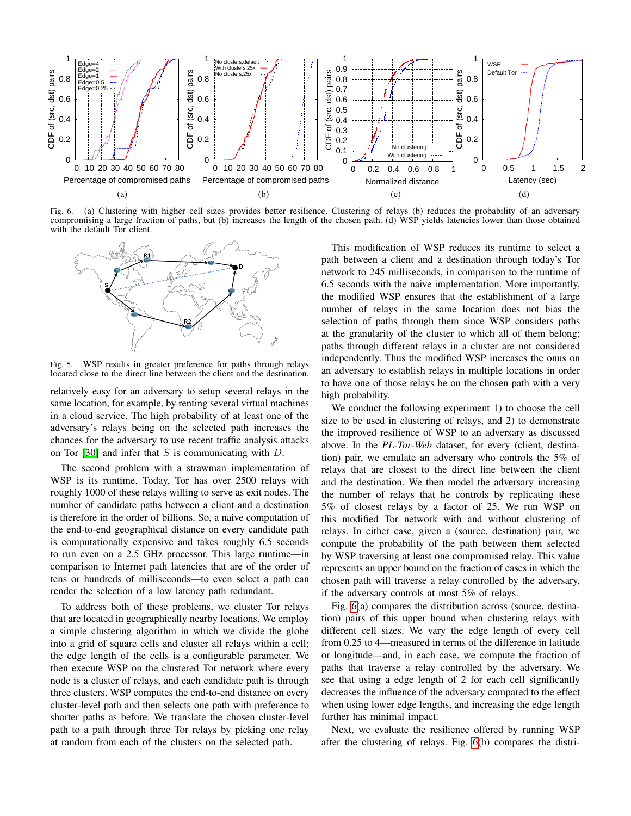

<span id="page-5-1"></span>Fig. 6. (a) Clustering with higher cell sizes provides better resilience. Clustering of relays (b) reduces the probability of an adversary compromising a large fraction of paths, but (b) increases the length of the chosen path. (d) WSP yields latencies lower than those obtained with the default Tor client.



<span id="page-5-0"></span>Fig. 5. WSP results in greater preference for paths through relays located close to the direct line between the client and the destination.

relatively easy for an adversary to setup several relays in the same location, for example, by renting several virtual machines in a cloud service. The high probability of at least one of the adversary's relays being on the selected path increases the chances for the adversary to use recent traffic analysis attacks on Tor  $[30]$  and infer that S is communicating with D.

The second problem with a strawman implementation of WSP is its runtime. Today, Tor has over 2500 relays with roughly 1000 of these relays willing to serve as exit nodes. The number of candidate paths between a client and a destination is therefore in the order of billions. So, a naive computation of the end-to-end geographical distance on every candidate path is computationally expensive and takes roughly 6.5 seconds to run even on a 2.5 GHz processor. This large runtime—in comparison to Internet path latencies that are of the order of tens or hundreds of milliseconds—to even select a path can render the selection of a low latency path redundant.

To address both of these problems, we cluster Tor relays that are located in geographically nearby locations. We employ a simple clustering algorithm in which we divide the globe into a grid of square cells and cluster all relays within a cell; the edge length of the cells is a configurable parameter. We then execute WSP on the clustered Tor network where every node is a cluster of relays, and each candidate path is through three clusters. WSP computes the end-to-end distance on every cluster-level path and then selects one path with preference to shorter paths as before. We translate the chosen cluster-level path to a path through three Tor relays by picking one relay at random from each of the clusters on the selected path.

This modification of WSP reduces its runtime to select a path between a client and a destination through today's Tor network to 245 milliseconds, in comparison to the runtime of 6.5 seconds with the naive implementation. More importantly, the modified WSP ensures that the establishment of a large number of relays in the same location does not bias the selection of paths through them since WSP considers paths at the granularity of the cluster to which all of them belong; paths through different relays in a cluster are not considered independently. Thus the modified WSP increases the onus on an adversary to establish relays in multiple locations in order to have one of those relays be on the chosen path with a very high probability.

We conduct the following experiment 1) to choose the cell size to be used in clustering of relays, and 2) to demonstrate the improved resilience of WSP to an adversary as discussed above. In the *PL-Tor-Web* dataset, for every (client, destination) pair, we emulate an adversary who controls the 5% of relays that are closest to the direct line between the client and the destination. We then model the adversary increasing the number of relays that he controls by replicating these 5% of closest relays by a factor of 25. We run WSP on this modified Tor network with and without clustering of relays. In either case, given a (source, destination) pair, we compute the probability of the path between them selected by WSP traversing at least one compromised relay. This value represents an upper bound on the fraction of cases in which the chosen path will traverse a relay controlled by the adversary, if the adversary controls at most 5% of relays.

Fig. [6\(](#page-5-1)a) compares the distribution across (source, destination) pairs of this upper bound when clustering relays with different cell sizes. We vary the edge length of every cell from 0.25 to 4—measured in terms of the difference in latitude or longitude—and, in each case, we compute the fraction of paths that traverse a relay controlled by the adversary. We see that using a edge length of 2 for each cell significantly decreases the influence of the adversary compared to the effect when using lower edge lengths, and increasing the edge length further has minimal impact.

Next, we evaluate the resilience offered by running WSP after the clustering of relays. Fig. [6\(](#page-5-1)b) compares the distri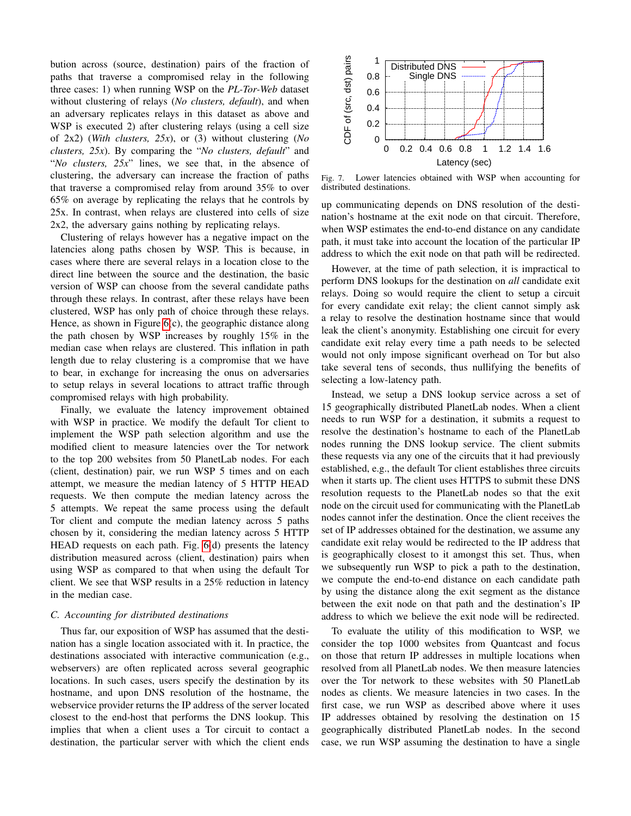bution across (source, destination) pairs of the fraction of paths that traverse a compromised relay in the following three cases: 1) when running WSP on the *PL-Tor-Web* dataset without clustering of relays (*No clusters, default*), and when an adversary replicates relays in this dataset as above and WSP is executed 2) after clustering relays (using a cell size of 2x2) (*With clusters, 25x*), or (3) without clustering (*No clusters, 25x*). By comparing the "*No clusters, default*" and "*No clusters, 25x*" lines, we see that, in the absence of clustering, the adversary can increase the fraction of paths that traverse a compromised relay from around 35% to over 65% on average by replicating the relays that he controls by 25x. In contrast, when relays are clustered into cells of size 2x2, the adversary gains nothing by replicating relays.

Clustering of relays however has a negative impact on the latencies along paths chosen by WSP. This is because, in cases where there are several relays in a location close to the direct line between the source and the destination, the basic version of WSP can choose from the several candidate paths through these relays. In contrast, after these relays have been clustered, WSP has only path of choice through these relays. Hence, as shown in Figure  $6(c)$ , the geographic distance along the path chosen by WSP increases by roughly 15% in the median case when relays are clustered. This inflation in path length due to relay clustering is a compromise that we have to bear, in exchange for increasing the onus on adversaries to setup relays in several locations to attract traffic through compromised relays with high probability.

Finally, we evaluate the latency improvement obtained with WSP in practice. We modify the default Tor client to implement the WSP path selection algorithm and use the modified client to measure latencies over the Tor network to the top 200 websites from 50 PlanetLab nodes. For each (client, destination) pair, we run WSP 5 times and on each attempt, we measure the median latency of 5 HTTP HEAD requests. We then compute the median latency across the 5 attempts. We repeat the same process using the default Tor client and compute the median latency across 5 paths chosen by it, considering the median latency across 5 HTTP HEAD requests on each path. Fig. [6\(](#page-5-1)d) presents the latency distribution measured across (client, destination) pairs when using WSP as compared to that when using the default Tor client. We see that WSP results in a 25% reduction in latency in the median case.

## <span id="page-6-0"></span>*C. Accounting for distributed destinations*

Thus far, our exposition of WSP has assumed that the destination has a single location associated with it. In practice, the destinations associated with interactive communication (e.g., webservers) are often replicated across several geographic locations. In such cases, users specify the destination by its hostname, and upon DNS resolution of the hostname, the webservice provider returns the IP address of the server located closest to the end-host that performs the DNS lookup. This implies that when a client uses a Tor circuit to contact a destination, the particular server with which the client ends



<span id="page-6-1"></span>Fig. 7. Lower latencies obtained with WSP when accounting for distributed destinations.

up communicating depends on DNS resolution of the destination's hostname at the exit node on that circuit. Therefore, when WSP estimates the end-to-end distance on any candidate path, it must take into account the location of the particular IP address to which the exit node on that path will be redirected.

However, at the time of path selection, it is impractical to perform DNS lookups for the destination on *all* candidate exit relays. Doing so would require the client to setup a circuit for every candidate exit relay; the client cannot simply ask a relay to resolve the destination hostname since that would leak the client's anonymity. Establishing one circuit for every candidate exit relay every time a path needs to be selected would not only impose significant overhead on Tor but also take several tens of seconds, thus nullifying the benefits of selecting a low-latency path.

Instead, we setup a DNS lookup service across a set of 15 geographically distributed PlanetLab nodes. When a client needs to run WSP for a destination, it submits a request to resolve the destination's hostname to each of the PlanetLab nodes running the DNS lookup service. The client submits these requests via any one of the circuits that it had previously established, e.g., the default Tor client establishes three circuits when it starts up. The client uses HTTPS to submit these DNS resolution requests to the PlanetLab nodes so that the exit node on the circuit used for communicating with the PlanetLab nodes cannot infer the destination. Once the client receives the set of IP addresses obtained for the destination, we assume any candidate exit relay would be redirected to the IP address that is geographically closest to it amongst this set. Thus, when we subsequently run WSP to pick a path to the destination, we compute the end-to-end distance on each candidate path by using the distance along the exit segment as the distance between the exit node on that path and the destination's IP address to which we believe the exit node will be redirected.

To evaluate the utility of this modification to WSP, we consider the top 1000 websites from Quantcast and focus on those that return IP addresses in multiple locations when resolved from all PlanetLab nodes. We then measure latencies over the Tor network to these websites with 50 PlanetLab nodes as clients. We measure latencies in two cases. In the first case, we run WSP as described above where it uses IP addresses obtained by resolving the destination on 15 geographically distributed PlanetLab nodes. In the second case, we run WSP assuming the destination to have a single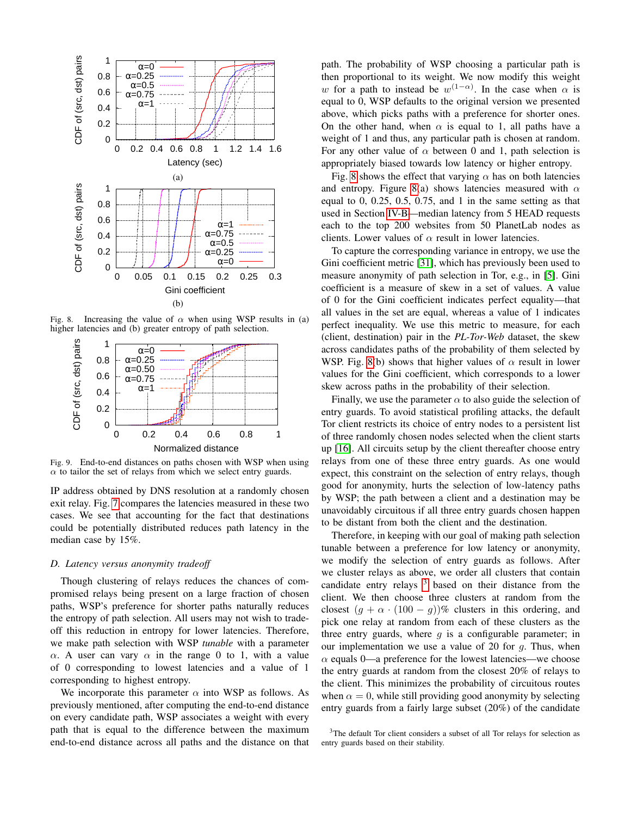

Fig. 8. Increasing the value of  $\alpha$  when using WSP results in (a) higher latencies and (b) greater entropy of path selection.

<span id="page-7-1"></span>

<span id="page-7-3"></span>Fig. 9. End-to-end distances on paths chosen with WSP when using  $\alpha$  to tailor the set of relays from which we select entry guards.

IP address obtained by DNS resolution at a randomly chosen exit relay. Fig. [7](#page-6-1) compares the latencies measured in these two cases. We see that accounting for the fact that destinations could be potentially distributed reduces path latency in the median case by 15%.

## <span id="page-7-0"></span>*D. Latency versus anonymity tradeoff*

Though clustering of relays reduces the chances of compromised relays being present on a large fraction of chosen paths, WSP's preference for shorter paths naturally reduces the entropy of path selection. All users may not wish to tradeoff this reduction in entropy for lower latencies. Therefore, we make path selection with WSP *tunable* with a parameter α. A user can vary  $\alpha$  in the range 0 to 1, with a value of 0 corresponding to lowest latencies and a value of 1 corresponding to highest entropy.

We incorporate this parameter  $\alpha$  into WSP as follows. As previously mentioned, after computing the end-to-end distance on every candidate path, WSP associates a weight with every path that is equal to the difference between the maximum end-to-end distance across all paths and the distance on that

path. The probability of WSP choosing a particular path is then proportional to its weight. We now modify this weight w for a path to instead be  $w^{(1-\alpha)}$ . In the case when  $\alpha$  is equal to 0, WSP defaults to the original version we presented above, which picks paths with a preference for shorter ones. On the other hand, when  $\alpha$  is equal to 1, all paths have a weight of 1 and thus, any particular path is chosen at random. For any other value of  $\alpha$  between 0 and 1, path selection is appropriately biased towards low latency or higher entropy.

Fig. [8](#page-7-1) shows the effect that varying  $\alpha$  has on both latencies and entropy. Figure [8\(](#page-7-1)a) shows latencies measured with  $\alpha$ equal to 0, 0.25, 0.5, 0.75, and 1 in the same setting as that used in Section [IV-B—](#page-4-1)median latency from 5 HEAD requests each to the top 200 websites from 50 PlanetLab nodes as clients. Lower values of  $\alpha$  result in lower latencies.

To capture the corresponding variance in entropy, we use the Gini coefficient metric [\[31\]](#page-14-30), which has previously been used to measure anonymity of path selection in Tor, e.g., in [\[5\]](#page-14-4). Gini coefficient is a measure of skew in a set of values. A value of 0 for the Gini coefficient indicates perfect equality—that all values in the set are equal, whereas a value of 1 indicates perfect inequality. We use this metric to measure, for each (client, destination) pair in the *PL-Tor-Web* dataset, the skew across candidates paths of the probability of them selected by WSP. Fig. [8\(](#page-7-1)b) shows that higher values of  $\alpha$  result in lower values for the Gini coefficient, which corresponds to a lower skew across paths in the probability of their selection.

Finally, we use the parameter  $\alpha$  to also guide the selection of entry guards. To avoid statistical profiling attacks, the default Tor client restricts its choice of entry nodes to a persistent list of three randomly chosen nodes selected when the client starts up [\[16\]](#page-14-15). All circuits setup by the client thereafter choose entry relays from one of these three entry guards. As one would expect, this constraint on the selection of entry relays, though good for anonymity, hurts the selection of low-latency paths by WSP; the path between a client and a destination may be unavoidably circuitous if all three entry guards chosen happen to be distant from both the client and the destination.

Therefore, in keeping with our goal of making path selection tunable between a preference for low latency or anonymity, we modify the selection of entry guards as follows. After we cluster relays as above, we order all clusters that contain candidate entry relays  $3$  based on their distance from the client. We then choose three clusters at random from the closest  $(g + \alpha \cdot (100 - g))$ % clusters in this ordering, and pick one relay at random from each of these clusters as the three entry guards, where  $g$  is a configurable parameter; in our implementation we use a value of 20 for  $q$ . Thus, when  $\alpha$  equals 0—a preference for the lowest latencies—we choose the entry guards at random from the closest 20% of relays to the client. This minimizes the probability of circuitous routes when  $\alpha = 0$ , while still providing good anonymity by selecting entry guards from a fairly large subset (20%) of the candidate

<span id="page-7-2"></span><sup>3</sup>The default Tor client considers a subset of all Tor relays for selection as entry guards based on their stability.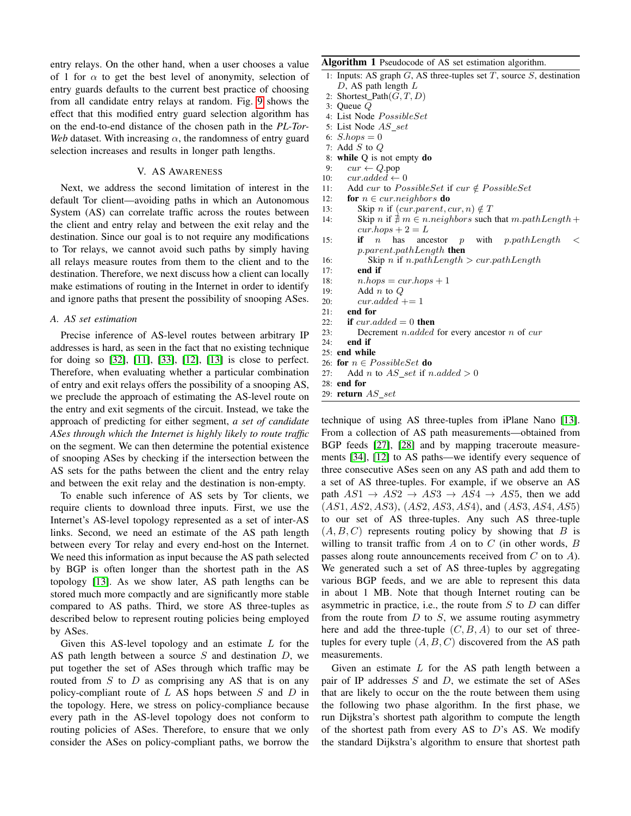entry relays. On the other hand, when a user chooses a value of 1 for  $\alpha$  to get the best level of anonymity, selection of entry guards defaults to the current best practice of choosing from all candidate entry relays at random. Fig. [9](#page-7-3) shows the effect that this modified entry guard selection algorithm has on the end-to-end distance of the chosen path in the *PL-Tor-Web* dataset. With increasing  $\alpha$ , the randomness of entry guard selection increases and results in longer path lengths.

# V. AS AWARENESS

<span id="page-8-0"></span>Next, we address the second limitation of interest in the default Tor client—avoiding paths in which an Autonomous System (AS) can correlate traffic across the routes between the client and entry relay and between the exit relay and the destination. Since our goal is to not require any modifications to Tor relays, we cannot avoid such paths by simply having all relays measure routes from them to the client and to the destination. Therefore, we next discuss how a client can locally make estimations of routing in the Internet in order to identify and ignore paths that present the possibility of snooping ASes.

# *A. AS set estimation*

Precise inference of AS-level routes between arbitrary IP addresses is hard, as seen in the fact that no existing technique for doing so [\[32\]](#page-14-31), [\[11\]](#page-14-10), [\[33\]](#page-14-32), [\[12\]](#page-14-11), [\[13\]](#page-14-12) is close to perfect. Therefore, when evaluating whether a particular combination of entry and exit relays offers the possibility of a snooping AS, we preclude the approach of estimating the AS-level route on the entry and exit segments of the circuit. Instead, we take the approach of predicting for either segment, *a set of candidate ASes through which the Internet is highly likely to route traffic* on the segment. We can then determine the potential existence of snooping ASes by checking if the intersection between the AS sets for the paths between the client and the entry relay and between the exit relay and the destination is non-empty.

To enable such inference of AS sets by Tor clients, we require clients to download three inputs. First, we use the Internet's AS-level topology represented as a set of inter-AS links. Second, we need an estimate of the AS path length between every Tor relay and every end-host on the Internet. We need this information as input because the AS path selected by BGP is often longer than the shortest path in the AS topology [\[13\]](#page-14-12). As we show later, AS path lengths can be stored much more compactly and are significantly more stable compared to AS paths. Third, we store AS three-tuples as described below to represent routing policies being employed by ASes.

Given this AS-level topology and an estimate  $L$  for the AS path length between a source  $S$  and destination  $D$ , we put together the set of ASes through which traffic may be routed from  $S$  to  $D$  as comprising any AS that is on any policy-compliant route of  $L$  AS hops between  $S$  and  $D$  in the topology. Here, we stress on policy-compliance because every path in the AS-level topology does not conform to routing policies of ASes. Therefore, to ensure that we only consider the ASes on policy-compliant paths, we borrow the

#### Algorithm 1 Pseudocode of AS set estimation algorithm.

- 1: Inputs: AS graph  $G$ , AS three-tuples set  $T$ , source  $S$ , destination  $D$ , AS path length  $L$
- 2: Shortest\_Path $(G, T, D)$
- 3: Queue Q
- 4: List Node PossibleSet
- 5: List Node AS set
- 6:  $S.hops = 0$
- 7: Add  $S$  to  $Q$
- 8: while Q is not empty do
- 9:  $cur \leftarrow Q$ .pop
- 10:  $cur.added \leftarrow 0$
- 11: Add cur to  $PossibleSet$  if cur  $\notin PossibleSet$
- 12: **for**  $n \in cur.neighbors$  **do**
- 13: Skip n if  $(cur.parent, cur, n) \notin T$
- 14: Skip n if  $\nexists m \in n.$  neighbors such that m.pathLength +  $cur.$ hops + 2 =  $L$
- 15: if *n* has ancestor *p* with *p.pathLength*  $\lt$ p.parent.pathLength then
- 16: Skip n if  $n.pathLength > cur.pathLength$
- 17: end if
- 18:  $n.hops = cur.hops + 1$
- 19: Add  $n$  to  $Q$
- 20:  $cur.added += 1$
- 21: end for
- 22: if  $cur.added = 0$  then
- 23: Decrement *n.added* for every ancestor *n* of *cur*
- 24: end if
- 25: end while
- 26: for  $n \in PossibleSet$  do
- 27: Add *n* to  $AS\_set$  if *n.added* > 0
- 28: end for 29: return  $AS\_set$

technique of using AS three-tuples from iPlane Nano [\[13\]](#page-14-12). From a collection of AS path measurements—obtained from BGP feeds [\[27\]](#page-14-26), [\[28\]](#page-14-27) and by mapping traceroute measurements [\[34\]](#page-14-33), [\[12\]](#page-14-11) to AS paths—we identify every sequence of three consecutive ASes seen on any AS path and add them to a set of AS three-tuples. For example, if we observe an AS path  $AS1 \rightarrow AS2 \rightarrow AS3 \rightarrow AS4 \rightarrow AS5$ , then we add  $(AS1, AS2, AS3), (AS2, AS3, AS4),$  and  $(AS3, AS4, AS5)$ to our set of AS three-tuples. Any such AS three-tuple  $(A, B, C)$  represents routing policy by showing that B is willing to transit traffic from  $A$  on to  $C$  (in other words,  $B$ passes along route announcements received from  $C$  on to  $A$ ). We generated such a set of AS three-tuples by aggregating various BGP feeds, and we are able to represent this data in about 1 MB. Note that though Internet routing can be asymmetric in practice, i.e., the route from  $S$  to  $D$  can differ from the route from  $D$  to  $S$ , we assume routing asymmetry here and add the three-tuple  $(C, B, A)$  to our set of threetuples for every tuple  $(A, B, C)$  discovered from the AS path measurements.

Given an estimate  $L$  for the AS path length between a pair of IP addresses  $S$  and  $D$ , we estimate the set of ASes that are likely to occur on the the route between them using the following two phase algorithm. In the first phase, we run Dijkstra's shortest path algorithm to compute the length of the shortest path from every AS to  $D$ 's AS. We modify the standard Dijkstra's algorithm to ensure that shortest path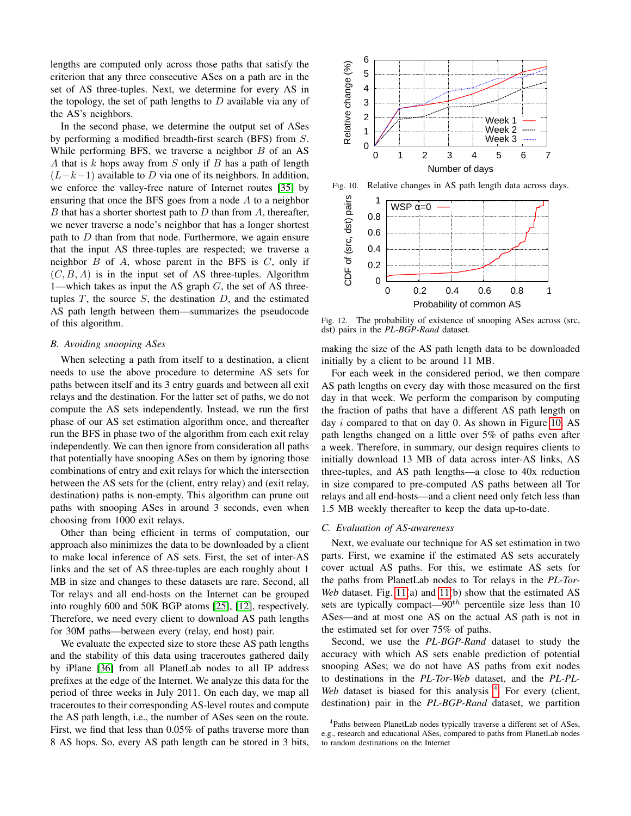lengths are computed only across those paths that satisfy the criterion that any three consecutive ASes on a path are in the set of AS three-tuples. Next, we determine for every AS in the topology, the set of path lengths to  $D$  available via any of the AS's neighbors.

In the second phase, we determine the output set of ASes by performing a modified breadth-first search (BFS) from S. While performing BFS, we traverse a neighbor  $B$  of an AS A that is  $k$  hops away from  $S$  only if  $B$  has a path of length  $(L-k-1)$  available to D via one of its neighbors. In addition, we enforce the valley-free nature of Internet routes [\[35\]](#page-14-34) by ensuring that once the BFS goes from a node  $A$  to a neighbor  $B$  that has a shorter shortest path to  $D$  than from  $A$ , thereafter, we never traverse a node's neighbor that has a longer shortest path to  $D$  than from that node. Furthermore, we again ensure that the input AS three-tuples are respected; we traverse a neighbor  $B$  of  $A$ , whose parent in the BFS is  $C$ , only if  $(C, B, A)$  is in the input set of AS three-tuples. Algorithm 1—which takes as input the AS graph  $G$ , the set of AS threetuples  $T$ , the source  $S$ , the destination  $D$ , and the estimated AS path length between them—summarizes the pseudocode of this algorithm.

## *B. Avoiding snooping ASes*

When selecting a path from itself to a destination, a client needs to use the above procedure to determine AS sets for paths between itself and its 3 entry guards and between all exit relays and the destination. For the latter set of paths, we do not compute the AS sets independently. Instead, we run the first phase of our AS set estimation algorithm once, and thereafter run the BFS in phase two of the algorithm from each exit relay independently. We can then ignore from consideration all paths that potentially have snooping ASes on them by ignoring those combinations of entry and exit relays for which the intersection between the AS sets for the (client, entry relay) and (exit relay, destination) paths is non-empty. This algorithm can prune out paths with snooping ASes in around 3 seconds, even when choosing from 1000 exit relays.

Other than being efficient in terms of computation, our approach also minimizes the data to be downloaded by a client to make local inference of AS sets. First, the set of inter-AS links and the set of AS three-tuples are each roughly about 1 MB in size and changes to these datasets are rare. Second, all Tor relays and all end-hosts on the Internet can be grouped into roughly 600 and 50K BGP atoms [\[25\]](#page-14-24), [\[12\]](#page-14-11), respectively. Therefore, we need every client to download AS path lengths for 30M paths—between every (relay, end host) pair.

We evaluate the expected size to store these AS path lengths and the stability of this data using traceroutes gathered daily by iPlane [\[36\]](#page-14-35) from all PlanetLab nodes to all IP address prefixes at the edge of the Internet. We analyze this data for the period of three weeks in July 2011. On each day, we map all traceroutes to their corresponding AS-level routes and compute the AS path length, i.e., the number of ASes seen on the route. First, we find that less than 0.05% of paths traverse more than 8 AS hops. So, every AS path length can be stored in 3 bits,



Fig. 10. Relative changes in AS path length data across days.

<span id="page-9-0"></span>

<span id="page-9-2"></span>Fig. 12. The probability of existence of snooping ASes across (src, dst) pairs in the *PL-BGP-Rand* dataset.

making the size of the AS path length data to be downloaded initially by a client to be around 11 MB.

For each week in the considered period, we then compare AS path lengths on every day with those measured on the first day in that week. We perform the comparison by computing the fraction of paths that have a different AS path length on day  $i$  compared to that on day 0. As shown in Figure [10,](#page-9-0) AS path lengths changed on a little over 5% of paths even after a week. Therefore, in summary, our design requires clients to initially download 13 MB of data across inter-AS links, AS three-tuples, and AS path lengths—a close to 40x reduction in size compared to pre-computed AS paths between all Tor relays and all end-hosts—and a client need only fetch less than 1.5 MB weekly thereafter to keep the data up-to-date.

## *C. Evaluation of AS-awareness*

Next, we evaluate our technique for AS set estimation in two parts. First, we examine if the estimated AS sets accurately cover actual AS paths. For this, we estimate AS sets for the paths from PlanetLab nodes to Tor relays in the *PL-Tor-Web* dataset. Fig. [11\(](#page-10-0)a) and [11\(](#page-10-0)b) show that the estimated AS sets are typically compact—90<sup>th</sup> percentile size less than 10 ASes—and at most one AS on the actual AS path is not in the estimated set for over 75% of paths.

Second, we use the *PL-BGP-Rand* dataset to study the accuracy with which AS sets enable prediction of potential snooping ASes; we do not have AS paths from exit nodes to destinations in the *PL-Tor-Web* dataset, and the *PL-PL-*Web dataset is biased for this analysis <sup>[4](#page-9-1)</sup>. For every (client, destination) pair in the *PL-BGP-Rand* dataset, we partition

<span id="page-9-1"></span><sup>4</sup>Paths between PlanetLab nodes typically traverse a different set of ASes, e.g., research and educational ASes, compared to paths from PlanetLab nodes to random destinations on the Internet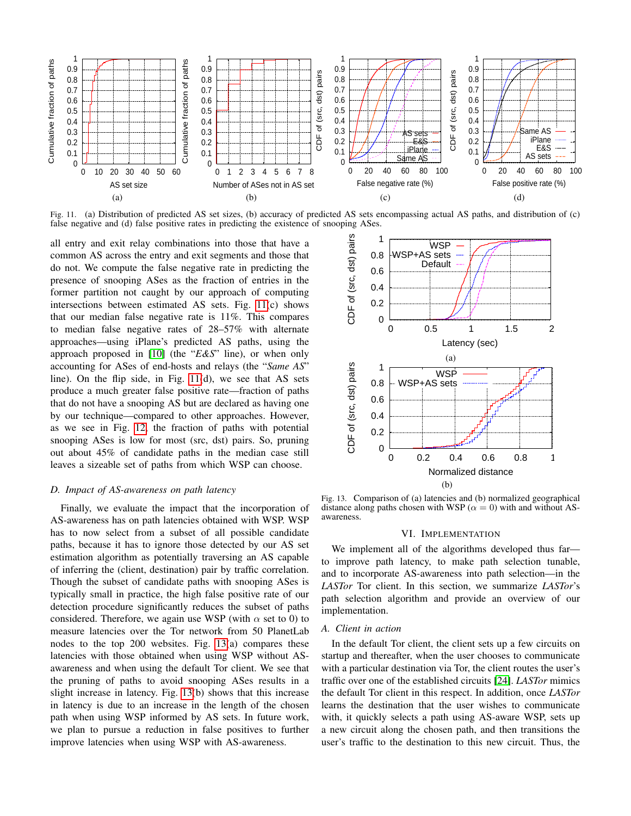

<span id="page-10-0"></span>Fig. 11. (a) Distribution of predicted AS set sizes, (b) accuracy of predicted AS sets encompassing actual AS paths, and distribution of (c) false negative and (d) false positive rates in predicting the existence of snooping ASes.

all entry and exit relay combinations into those that have a common AS across the entry and exit segments and those that do not. We compute the false negative rate in predicting the presence of snooping ASes as the fraction of entries in the former partition not caught by our approach of computing intersections between estimated AS sets. Fig. [11\(](#page-10-0)c) shows that our median false negative rate is 11%. This compares to median false negative rates of 28–57% with alternate approaches—using iPlane's predicted AS paths, using the approach proposed in [\[10\]](#page-14-9) (the "*E&S*" line), or when only accounting for ASes of end-hosts and relays (the "*Same AS*" line). On the flip side, in Fig. [11\(](#page-10-0)d), we see that AS sets produce a much greater false positive rate—fraction of paths that do not have a snooping AS but are declared as having one by our technique—compared to other approaches. However, as we see in Fig. [12,](#page-9-2) the fraction of paths with potential snooping ASes is low for most (src, dst) pairs. So, pruning out about 45% of candidate paths in the median case still leaves a sizeable set of paths from which WSP can choose.

# *D. Impact of AS-awareness on path latency*

Finally, we evaluate the impact that the incorporation of AS-awareness has on path latencies obtained with WSP. WSP has to now select from a subset of all possible candidate paths, because it has to ignore those detected by our AS set estimation algorithm as potentially traversing an AS capable of inferring the (client, destination) pair by traffic correlation. Though the subset of candidate paths with snooping ASes is typically small in practice, the high false positive rate of our detection procedure significantly reduces the subset of paths considered. Therefore, we again use WSP (with  $\alpha$  set to 0) to measure latencies over the Tor network from 50 PlanetLab nodes to the top 200 websites. Fig. [13\(](#page-10-1)a) compares these latencies with those obtained when using WSP without ASawareness and when using the default Tor client. We see that the pruning of paths to avoid snooping ASes results in a slight increase in latency. Fig. [13\(](#page-10-1)b) shows that this increase in latency is due to an increase in the length of the chosen path when using WSP informed by AS sets. In future work, we plan to pursue a reduction in false positives to further improve latencies when using WSP with AS-awareness.



<span id="page-10-1"></span>Fig. 13. Comparison of (a) latencies and (b) normalized geographical distance along paths chosen with WSP ( $\alpha = 0$ ) with and without ASawareness.

# VI. IMPLEMENTATION

We implement all of the algorithms developed thus far to improve path latency, to make path selection tunable, and to incorporate AS-awareness into path selection—in the *LASTor* Tor client. In this section, we summarize *LASTor*'s path selection algorithm and provide an overview of our implementation.

# *A. Client in action*

In the default Tor client, the client sets up a few circuits on startup and thereafter, when the user chooses to communicate with a particular destination via Tor, the client routes the user's traffic over one of the established circuits [\[24\]](#page-14-23). *LASTor* mimics the default Tor client in this respect. In addition, once *LASTor* learns the destination that the user wishes to communicate with, it quickly selects a path using AS-aware WSP, sets up a new circuit along the chosen path, and then transitions the user's traffic to the destination to this new circuit. Thus, the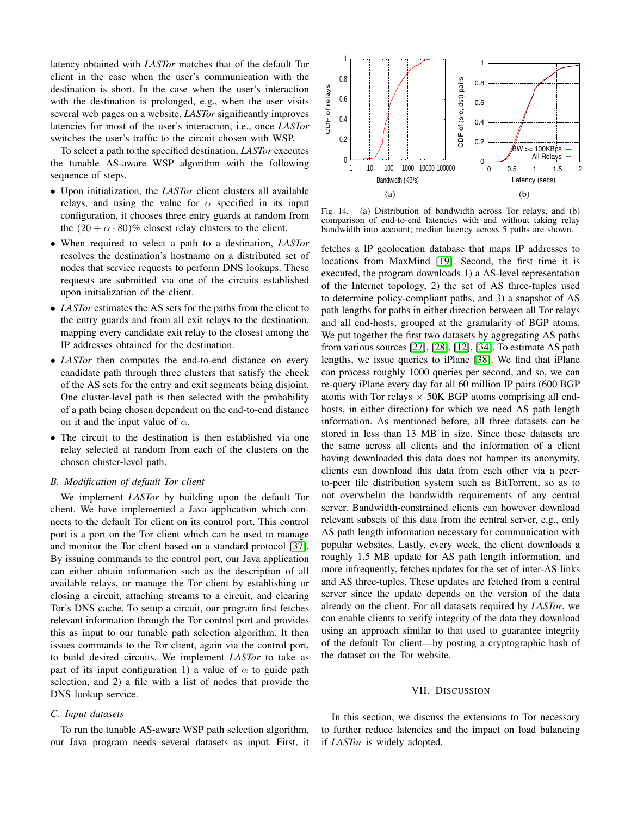latency obtained with *LASTor* matches that of the default Tor client in the case when the user's communication with the destination is short. In the case when the user's interaction with the destination is prolonged, e.g., when the user visits several web pages on a website, *LASTor* significantly improves latencies for most of the user's interaction, i.e., once *LASTor* switches the user's traffic to the circuit chosen with WSP.

To select a path to the specified destination, *LASTor* executes the tunable AS-aware WSP algorithm with the following sequence of steps.

- Upon initialization, the *LASTor* client clusters all available relays, and using the value for  $\alpha$  specified in its input configuration, it chooses three entry guards at random from the  $(20 + \alpha \cdot 80)$ % closest relay clusters to the client.
- When required to select a path to a destination, *LASTor* resolves the destination's hostname on a distributed set of nodes that service requests to perform DNS lookups. These requests are submitted via one of the circuits established upon initialization of the client.
- *LASTor* estimates the AS sets for the paths from the client to the entry guards and from all exit relays to the destination, mapping every candidate exit relay to the closest among the IP addresses obtained for the destination.
- *LASTor* then computes the end-to-end distance on every candidate path through three clusters that satisfy the check of the AS sets for the entry and exit segments being disjoint. One cluster-level path is then selected with the probability of a path being chosen dependent on the end-to-end distance on it and the input value of  $\alpha$ .
- The circuit to the destination is then established via one relay selected at random from each of the clusters on the chosen cluster-level path.

# *B. Modification of default Tor client*

We implement *LASTor* by building upon the default Tor client. We have implemented a Java application which connects to the default Tor client on its control port. This control port is a port on the Tor client which can be used to manage and monitor the Tor client based on a standard protocol [\[37\]](#page-14-36). By issuing commands to the control port, our Java application can either obtain information such as the description of all available relays, or manage the Tor client by establishing or closing a circuit, attaching streams to a circuit, and clearing Tor's DNS cache. To setup a circuit, our program first fetches relevant information through the Tor control port and provides this as input to our tunable path selection algorithm. It then issues commands to the Tor client, again via the control port, to build desired circuits. We implement *LASTor* to take as part of its input configuration 1) a value of  $\alpha$  to guide path selection, and 2) a file with a list of nodes that provide the DNS lookup service.

# *C. Input datasets*

To run the tunable AS-aware WSP path selection algorithm, our Java program needs several datasets as input. First, it



<span id="page-11-1"></span>Fig. 14. (a) Distribution of bandwidth across Tor relays, and (b) comparison of end-to-end latencies with and without taking relay bandwidth into account; median latency across 5 paths are shown.

fetches a IP geolocation database that maps IP addresses to locations from MaxMind [\[19\]](#page-14-18). Second, the first time it is executed, the program downloads 1) a AS-level representation of the Internet topology, 2) the set of AS three-tuples used to determine policy-compliant paths, and 3) a snapshot of AS path lengths for paths in either direction between all Tor relays and all end-hosts, grouped at the granularity of BGP atoms. We put together the first two datasets by aggregating AS paths from various sources [\[27\]](#page-14-26), [\[28\]](#page-14-27), [\[12\]](#page-14-11), [\[34\]](#page-14-33). To estimate AS path lengths, we issue queries to iPlane [\[38\]](#page-14-37). We find that iPlane can process roughly 1000 queries per second, and so, we can re-query iPlane every day for all 60 million IP pairs (600 BGP atoms with Tor relays  $\times$  50K BGP atoms comprising all endhosts, in either direction) for which we need AS path length information. As mentioned before, all three datasets can be stored in less than 13 MB in size. Since these datasets are the same across all clients and the information of a client having downloaded this data does not hamper its anonymity, clients can download this data from each other via a peerto-peer file distribution system such as BitTorrent, so as to not overwhelm the bandwidth requirements of any central server. Bandwidth-constrained clients can however download relevant subsets of this data from the central server, e.g., only AS path length information necessary for communication with popular websites. Lastly, every week, the client downloads a roughly 1.5 MB update for AS path length information, and more infrequently, fetches updates for the set of inter-AS links and AS three-tuples. These updates are fetched from a central server since the update depends on the version of the data already on the client. For all datasets required by *LASTor*, we can enable clients to verify integrity of the data they download using an approach similar to that used to guarantee integrity of the default Tor client—by posting a cryptographic hash of the dataset on the Tor website.

## VII. DISCUSSION

<span id="page-11-0"></span>In this section, we discuss the extensions to Tor necessary to further reduce latencies and the impact on load balancing if *LASTor* is widely adopted.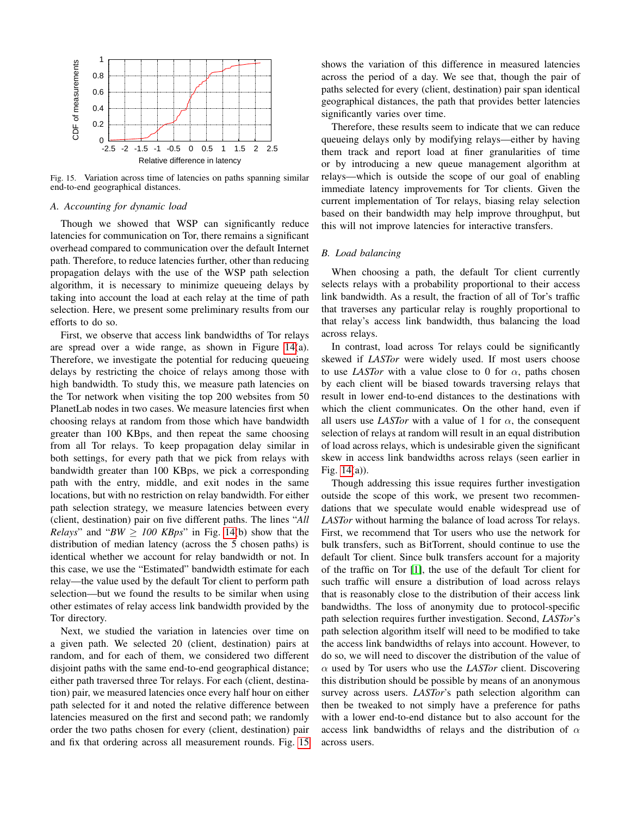

<span id="page-12-0"></span>Fig. 15. Variation across time of latencies on paths spanning similar end-to-end geographical distances.

## *A. Accounting for dynamic load*

Though we showed that WSP can significantly reduce latencies for communication on Tor, there remains a significant overhead compared to communication over the default Internet path. Therefore, to reduce latencies further, other than reducing propagation delays with the use of the WSP path selection algorithm, it is necessary to minimize queueing delays by taking into account the load at each relay at the time of path selection. Here, we present some preliminary results from our efforts to do so.

First, we observe that access link bandwidths of Tor relays are spread over a wide range, as shown in Figure [14\(](#page-11-1)a). Therefore, we investigate the potential for reducing queueing delays by restricting the choice of relays among those with high bandwidth. To study this, we measure path latencies on the Tor network when visiting the top 200 websites from 50 PlanetLab nodes in two cases. We measure latencies first when choosing relays at random from those which have bandwidth greater than 100 KBps, and then repeat the same choosing from all Tor relays. To keep propagation delay similar in both settings, for every path that we pick from relays with bandwidth greater than 100 KBps, we pick a corresponding path with the entry, middle, and exit nodes in the same locations, but with no restriction on relay bandwidth. For either path selection strategy, we measure latencies between every (client, destination) pair on five different paths. The lines "*All Relays*" and " $BW \geq 100$  *KBps*" in Fig. [14\(](#page-11-1)b) show that the distribution of median latency (across the 5 chosen paths) is identical whether we account for relay bandwidth or not. In this case, we use the "Estimated" bandwidth estimate for each relay—the value used by the default Tor client to perform path selection—but we found the results to be similar when using other estimates of relay access link bandwidth provided by the Tor directory.

Next, we studied the variation in latencies over time on a given path. We selected 20 (client, destination) pairs at random, and for each of them, we considered two different disjoint paths with the same end-to-end geographical distance; either path traversed three Tor relays. For each (client, destination) pair, we measured latencies once every half hour on either path selected for it and noted the relative difference between latencies measured on the first and second path; we randomly order the two paths chosen for every (client, destination) pair and fix that ordering across all measurement rounds. Fig. [15](#page-12-0)

shows the variation of this difference in measured latencies across the period of a day. We see that, though the pair of paths selected for every (client, destination) pair span identical geographical distances, the path that provides better latencies significantly varies over time.

Therefore, these results seem to indicate that we can reduce queueing delays only by modifying relays—either by having them track and report load at finer granularities of time or by introducing a new queue management algorithm at relays—which is outside the scope of our goal of enabling immediate latency improvements for Tor clients. Given the current implementation of Tor relays, biasing relay selection based on their bandwidth may help improve throughput, but this will not improve latencies for interactive transfers.

# *B. Load balancing*

When choosing a path, the default Tor client currently selects relays with a probability proportional to their access link bandwidth. As a result, the fraction of all of Tor's traffic that traverses any particular relay is roughly proportional to that relay's access link bandwidth, thus balancing the load across relays.

In contrast, load across Tor relays could be significantly skewed if *LASTor* were widely used. If most users choose to use *LASTor* with a value close to 0 for  $\alpha$ , paths chosen by each client will be biased towards traversing relays that result in lower end-to-end distances to the destinations with which the client communicates. On the other hand, even if all users use *LASTor* with a value of 1 for  $\alpha$ , the consequent selection of relays at random will result in an equal distribution of load across relays, which is undesirable given the significant skew in access link bandwidths across relays (seen earlier in Fig. [14\(](#page-11-1)a)).

Though addressing this issue requires further investigation outside the scope of this work, we present two recommendations that we speculate would enable widespread use of *LASTor* without harming the balance of load across Tor relays. First, we recommend that Tor users who use the network for bulk transfers, such as BitTorrent, should continue to use the default Tor client. Since bulk transfers account for a majority of the traffic on Tor [\[1\]](#page-14-0), the use of the default Tor client for such traffic will ensure a distribution of load across relays that is reasonably close to the distribution of their access link bandwidths. The loss of anonymity due to protocol-specific path selection requires further investigation. Second, *LASTor*'s path selection algorithm itself will need to be modified to take the access link bandwidths of relays into account. However, to do so, we will need to discover the distribution of the value of  $\alpha$  used by Tor users who use the *LASTor* client. Discovering this distribution should be possible by means of an anonymous survey across users. *LASTor*'s path selection algorithm can then be tweaked to not simply have a preference for paths with a lower end-to-end distance but to also account for the access link bandwidths of relays and the distribution of  $\alpha$ across users.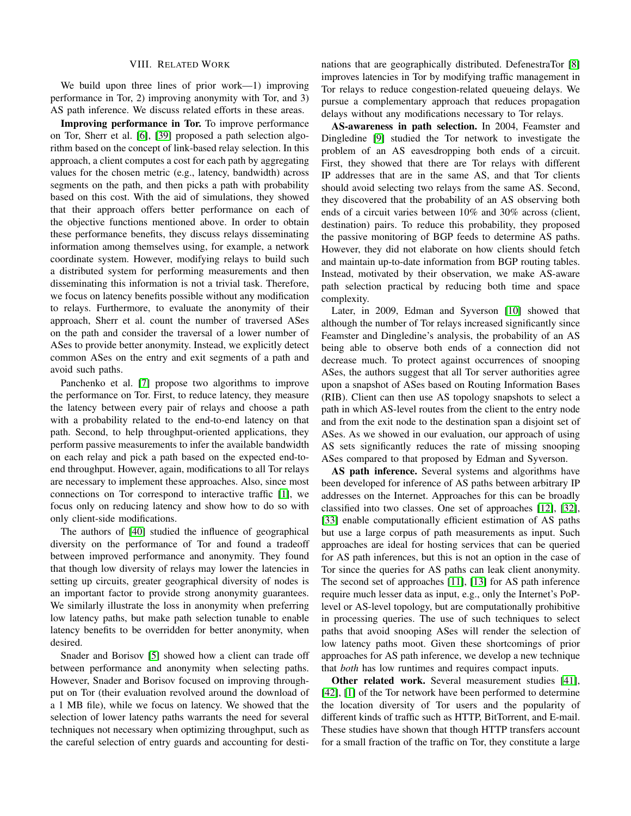## VIII. RELATED WORK

We build upon three lines of prior work—1) improving performance in Tor, 2) improving anonymity with Tor, and 3) AS path inference. We discuss related efforts in these areas.

Improving performance in Tor. To improve performance on Tor, Sherr et al. [\[6\]](#page-14-5), [\[39\]](#page-14-38) proposed a path selection algorithm based on the concept of link-based relay selection. In this approach, a client computes a cost for each path by aggregating values for the chosen metric (e.g., latency, bandwidth) across segments on the path, and then picks a path with probability based on this cost. With the aid of simulations, they showed that their approach offers better performance on each of the objective functions mentioned above. In order to obtain these performance benefits, they discuss relays disseminating information among themselves using, for example, a network coordinate system. However, modifying relays to build such a distributed system for performing measurements and then disseminating this information is not a trivial task. Therefore, we focus on latency benefits possible without any modification to relays. Furthermore, to evaluate the anonymity of their approach, Sherr et al. count the number of traversed ASes on the path and consider the traversal of a lower number of ASes to provide better anonymity. Instead, we explicitly detect common ASes on the entry and exit segments of a path and avoid such paths.

Panchenko et al. [\[7\]](#page-14-6) propose two algorithms to improve the performance on Tor. First, to reduce latency, they measure the latency between every pair of relays and choose a path with a probability related to the end-to-end latency on that path. Second, to help throughput-oriented applications, they perform passive measurements to infer the available bandwidth on each relay and pick a path based on the expected end-toend throughput. However, again, modifications to all Tor relays are necessary to implement these approaches. Also, since most connections on Tor correspond to interactive traffic [\[1\]](#page-14-0), we focus only on reducing latency and show how to do so with only client-side modifications.

The authors of [\[40\]](#page-14-39) studied the influence of geographical diversity on the performance of Tor and found a tradeoff between improved performance and anonymity. They found that though low diversity of relays may lower the latencies in setting up circuits, greater geographical diversity of nodes is an important factor to provide strong anonymity guarantees. We similarly illustrate the loss in anonymity when preferring low latency paths, but make path selection tunable to enable latency benefits to be overridden for better anonymity, when desired.

Snader and Borisov [\[5\]](#page-14-4) showed how a client can trade off between performance and anonymity when selecting paths. However, Snader and Borisov focused on improving throughput on Tor (their evaluation revolved around the download of a 1 MB file), while we focus on latency. We showed that the selection of lower latency paths warrants the need for several techniques not necessary when optimizing throughput, such as the careful selection of entry guards and accounting for destinations that are geographically distributed. DefenestraTor [\[8\]](#page-14-7) improves latencies in Tor by modifying traffic management in Tor relays to reduce congestion-related queueing delays. We pursue a complementary approach that reduces propagation delays without any modifications necessary to Tor relays.

AS-awareness in path selection. In 2004, Feamster and Dingledine [\[9\]](#page-14-8) studied the Tor network to investigate the problem of an AS eavesdropping both ends of a circuit. First, they showed that there are Tor relays with different IP addresses that are in the same AS, and that Tor clients should avoid selecting two relays from the same AS. Second, they discovered that the probability of an AS observing both ends of a circuit varies between 10% and 30% across (client, destination) pairs. To reduce this probability, they proposed the passive monitoring of BGP feeds to determine AS paths. However, they did not elaborate on how clients should fetch and maintain up-to-date information from BGP routing tables. Instead, motivated by their observation, we make AS-aware path selection practical by reducing both time and space complexity.

Later, in 2009, Edman and Syverson [\[10\]](#page-14-9) showed that although the number of Tor relays increased significantly since Feamster and Dingledine's analysis, the probability of an AS being able to observe both ends of a connection did not decrease much. To protect against occurrences of snooping ASes, the authors suggest that all Tor server authorities agree upon a snapshot of ASes based on Routing Information Bases (RIB). Client can then use AS topology snapshots to select a path in which AS-level routes from the client to the entry node and from the exit node to the destination span a disjoint set of ASes. As we showed in our evaluation, our approach of using AS sets significantly reduces the rate of missing snooping ASes compared to that proposed by Edman and Syverson.

AS path inference. Several systems and algorithms have been developed for inference of AS paths between arbitrary IP addresses on the Internet. Approaches for this can be broadly classified into two classes. One set of approaches [\[12\]](#page-14-11), [\[32\]](#page-14-31), [\[33\]](#page-14-32) enable computationally efficient estimation of AS paths but use a large corpus of path measurements as input. Such approaches are ideal for hosting services that can be queried for AS path inferences, but this is not an option in the case of Tor since the queries for AS paths can leak client anonymity. The second set of approaches [\[11\]](#page-14-10), [\[13\]](#page-14-12) for AS path inference require much lesser data as input, e.g., only the Internet's PoPlevel or AS-level topology, but are computationally prohibitive in processing queries. The use of such techniques to select paths that avoid snooping ASes will render the selection of low latency paths moot. Given these shortcomings of prior approaches for AS path inference, we develop a new technique that *both* has low runtimes and requires compact inputs.

Other related work. Several measurement studies [\[41\]](#page-14-40), [\[42\]](#page-14-41), [\[1\]](#page-14-0) of the Tor network have been performed to determine the location diversity of Tor users and the popularity of different kinds of traffic such as HTTP, BitTorrent, and E-mail. These studies have shown that though HTTP transfers account for a small fraction of the traffic on Tor, they constitute a large